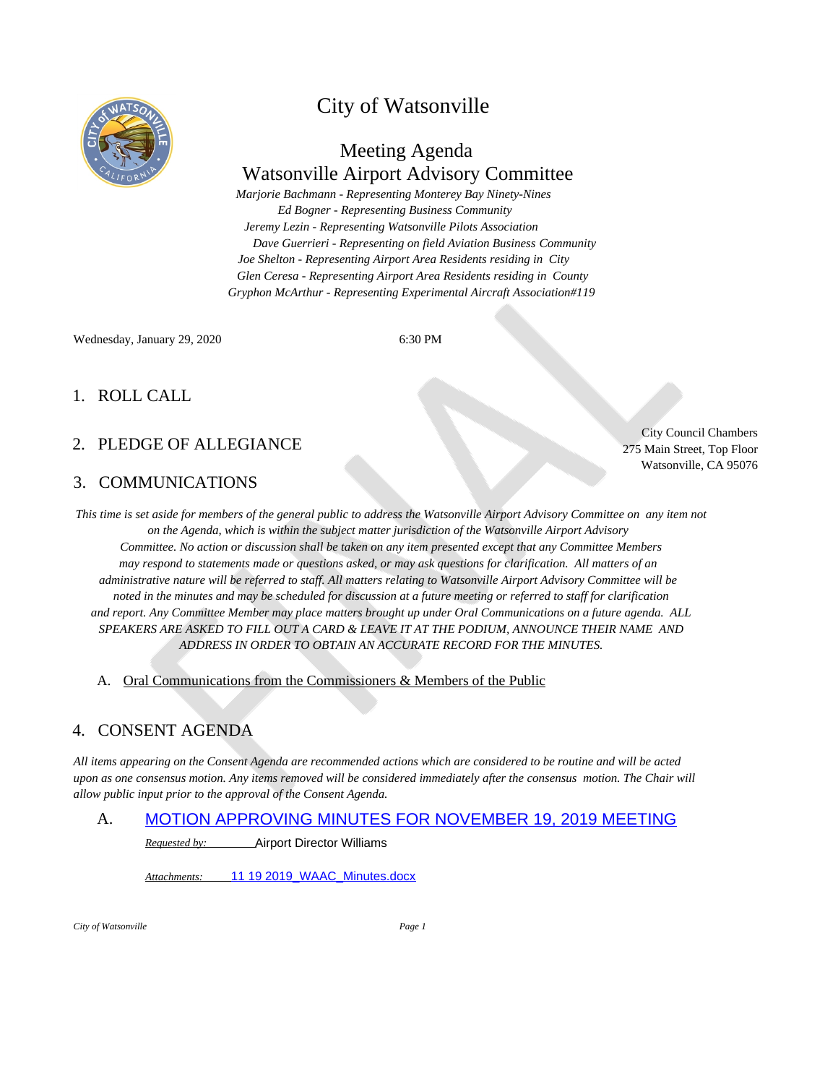

# City of Watsonville

## Meeting Agenda Watsonville Airport Advisory Committee

*Marjorie Bachmann - Representing Monterey Bay Ninety-Nines Ed Bogner - Representing Business Community Jeremy Lezin - Representing Watsonville Pilots Association Dave Guerrieri - Representing on field Aviation Business Community Joe Shelton - Representing Airport Area Residents residing in City Glen Ceresa - Representing Airport Area Residents residing in County Gryphon McArthur - Representing Experimental Aircraft Association#119*

Wednesday, January 29, 2020 6:30 PM

## 1. ROLL CALL

## 2. PLEDGE OF ALLEGIANCE

#### 3. COMMUNICATIONS

City Council Chambers 275 Main Street, Top Floor Watsonville, CA 95076

*This time is set aside for members of the general public to address the Watsonville Airport Advisory Committee on any item not on the Agenda, which is within the subject matter jurisdiction of the Watsonville Airport Advisory Committee. No action or discussion shall be taken on any item presented except that any Committee Members may respond to statements made or questions asked, or may ask questions for clarification. All matters of an administrative nature will be referred to staff. All matters relating to Watsonville Airport Advisory Committee will be noted in the minutes and may be scheduled for discussion at a future meeting or referred to staff for clarification and report. Any Committee Member may place matters brought up under Oral Communications on a future agenda. ALL SPEAKERS ARE ASKED TO FILL OUT A CARD & LEAVE IT AT THE PODIUM, ANNOUNCE THEIR NAME AND ADDRESS IN ORDER TO OBTAIN AN ACCURATE RECORD FOR THE MINUTES.*

#### A. Oral Communications from the Commissioners & Members of the Public

### 4. CONSENT AGENDA

*All items appearing on the Consent Agenda are recommended actions which are considered to be routine and will be acted*  upon as one consensus motion. Any items removed will be considered immediately after the consensus motion. The Chair will *allow public input prior to the approval of the Consent Agenda.*

#### A. [MOTION APPROVING MINUTES FOR NOVEMBER 19, 2019 MEETING](http://watsonville.legistar.com/gateway.aspx?m=l&id=/matter.aspx?key=2809) *[Requested by:](http://watsonville.legistar.com/gateway.aspx?m=l&id=/matter.aspx?key=2809)* [Airport Director Williams](http://watsonville.legistar.com/gateway.aspx?m=l&id=/matter.aspx?key=2809)

*[Attachments:](http://watsonville.legistar.com/gateway.aspx?m=l&id=/matter.aspx?key=2809)* [11 19 2019\\_WAAC\\_Minutes.docx](http://watsonville.legistar.com/gateway.aspx?m=l&id=/matter.aspx?key=2809)

*[City of Watsonville](http://watsonville.legistar.com/gateway.aspx?m=l&id=/matter.aspx?key=2809) [Page 1](http://watsonville.legistar.com/gateway.aspx?m=l&id=/matter.aspx?key=2809)*